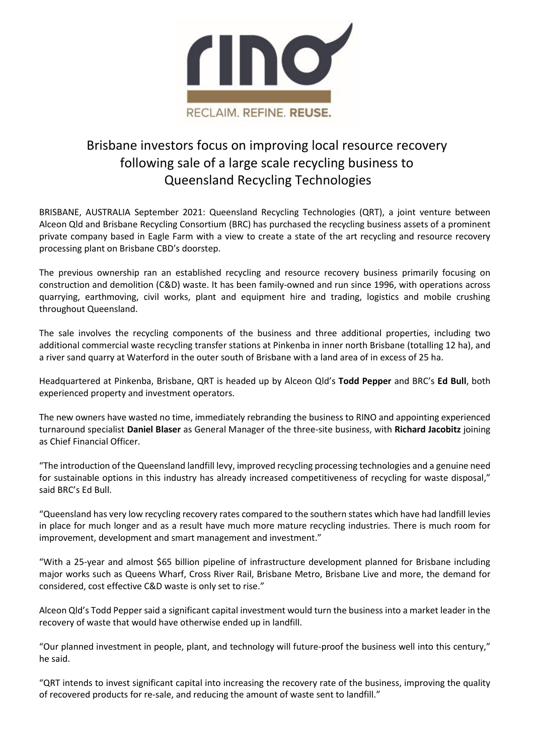

## Brisbane investors focus on improving local resource recovery following sale of a large scale recycling business to Queensland Recycling Technologies

BRISBANE, AUSTRALIA September 2021: Queensland Recycling Technologies (QRT), a joint venture between Alceon Qld and Brisbane Recycling Consortium (BRC) has purchased the recycling business assets of a prominent private company based in Eagle Farm with a view to create a state of the art recycling and resource recovery processing plant on Brisbane CBD's doorstep.

The previous ownership ran an established recycling and resource recovery business primarily focusing on construction and demolition (C&D) waste. It has been family-owned and run since 1996, with operations across quarrying, earthmoving, civil works, plant and equipment hire and trading, logistics and mobile crushing throughout Queensland.

The sale involves the recycling components of the business and three additional properties, including two additional commercial waste recycling transfer stations at Pinkenba in inner north Brisbane (totalling 12 ha), and a river sand quarry at Waterford in the outer south of Brisbane with a land area of in excess of 25 ha.

Headquartered at Pinkenba, Brisbane, QRT is headed up by Alceon Qld's **Todd Pepper** and BRC's **Ed Bull**, both experienced property and investment operators.

The new owners have wasted no time, immediately rebranding the business to RINO and appointing experienced turnaround specialist **Daniel Blaser** as General Manager of the three-site business, with **Richard Jacobitz** joining as Chief Financial Officer.

"The introduction of the Queensland landfill levy, improved recycling processing technologies and a genuine need for sustainable options in this industry has already increased competitiveness of recycling for waste disposal," said BRC's Ed Bull.

"Queensland has very low recycling recovery rates compared to the southern states which have had landfill levies in place for much longer and as a result have much more mature recycling industries. There is much room for improvement, development and smart management and investment."

"With a 25-year and almost \$65 billion pipeline of infrastructure development planned for Brisbane including major works such as Queens Wharf, Cross River Rail, Brisbane Metro, Brisbane Live and more, the demand for considered, cost effective C&D waste is only set to rise."

Alceon Qld's Todd Pepper said a significant capital investment would turn the business into a market leader in the recovery of waste that would have otherwise ended up in landfill.

"Our planned investment in people, plant, and technology will future-proof the business well into this century," he said.

"QRT intends to invest significant capital into increasing the recovery rate of the business, improving the quality of recovered products for re-sale, and reducing the amount of waste sent to landfill."